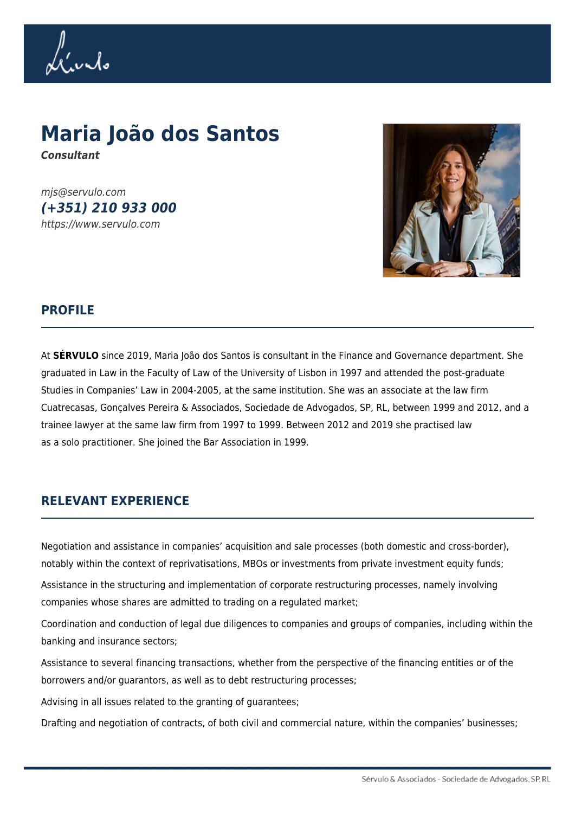Llurdo

# **Maria João dos Santos** *Consultant*

mjs@servulo.com *(+351) 210 933 000* https://www.servulo.com



#### **PROFILE**

At **SÉRVULO** since 2019, Maria João dos Santos is consultant in the Finance and Governance department. She graduated in Law in the Faculty of Law of the University of Lisbon in 1997 and attended the post-graduate Studies in Companies' Law in 2004-2005, at the same institution. She was an associate at the law firm Cuatrecasas, Gonçalves Pereira & Associados, Sociedade de Advogados, SP, RL, between 1999 and 2012, and a trainee lawyer at the same law firm from 1997 to 1999. Between 2012 and 2019 she practised law as a solo practitioner. She joined the Bar Association in 1999.

### **RELEVANT EXPERIENCE**

Negotiation and assistance in companies' acquisition and sale processes (both domestic and cross-border), notably within the context of reprivatisations, MBOs or investments from private investment equity funds;

Assistance in the structuring and implementation of corporate restructuring processes, namely involving companies whose shares are admitted to trading on a regulated market;

Coordination and conduction of legal due diligences to companies and groups of companies, including within the banking and insurance sectors;

Assistance to several financing transactions, whether from the perspective of the financing entities or of the borrowers and/or guarantors, as well as to debt restructuring processes;

Advising in all issues related to the granting of guarantees;

Drafting and negotiation of contracts, of both civil and commercial nature, within the companies' businesses;